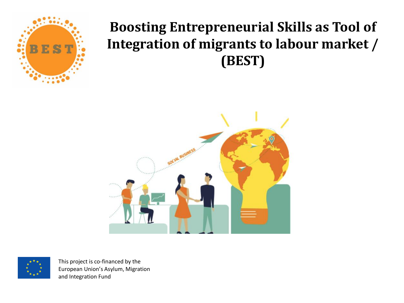

#### **Boosting Entrepreneurial Skills as Tool of Integration of migrants to labour market / (BEST)**



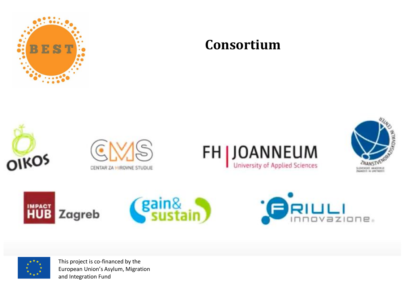

#### **Consortium**















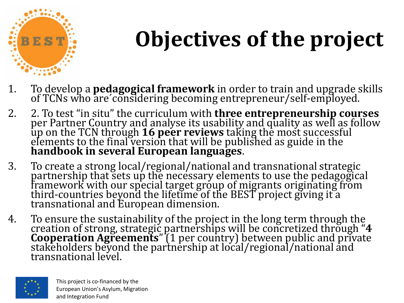

# **Objectives of the project**

- 1. To develop a **pedagogical framework** in order to train and upgrade skills of TCNs who are´considering becoming entrepreneur/self-employed.
- 2. 2. To test "in situ" the curriculum with **three entrepreneurship courses**  per Partner Country and analyse its usability and quality as well as follow up on the TCN through **16 peer reviews** taking the most successful elements to the final version that will be published as guide in the **handbook in several European languages**.
- 3. To create a strong local/regional/national and transnational strategic partnership that sets up the necessary elements to use the pedagogical framework with our special target group of migrants originating from third-countries beyond the lifetime of the BEST project giving it a transnational and European dimension.
- 4. To ensure the sustainability of the project in the long term through the creation of strong, strategic partnerships will be concretized through "**4 Cooperation Agreements**" (1 per country) between public and private stakeholders beyond the partnership at local/regional/national and transnational level.

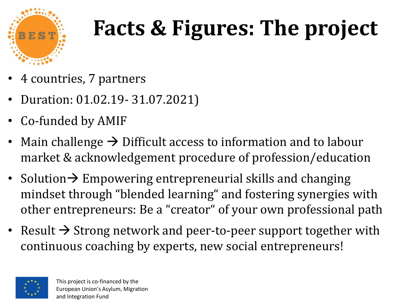

# **Facts & Figures: The project**

- 4 countries, 7 partners
- Duration: 01.02.19- 31.07.2021)
- Co-funded by AMIF
- Main challenge  $\rightarrow$  Difficult access to information and to labour market & acknowledgement procedure of profession/education
- Solution  $\rightarrow$  Empowering entrepreneurial skills and changing mindset through "blended learning" and fostering synergies with other entrepreneurs: Be a "creator" of your own professional path
- Result  $\rightarrow$  Strong network and peer-to-peer support together with continuous coaching by experts, new social entrepreneurs!

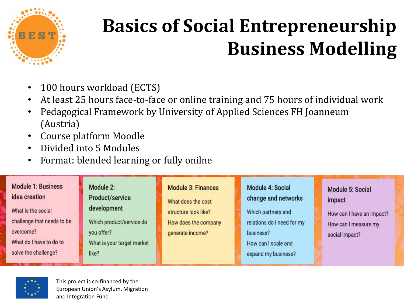

### **Basics of Social Entrepreneurship Business Modelling**

- 100 hours workload (ECTS)
- At least 25 hours face-to-face or online training and 75 hours of individual work
- Pedagogical Framework by University of Applied Sciences FH Joanneum (Austria)
- Course platform Moodle
- Divided into 5 Modules
- Format: blended learning or fully onilne

#### **Module 1: Business** Module 2: Module 3: Finances Module 4: Social Module 5: Social idea creation Product/service change and networks impact What does the cost development What is the social structure look like? Which partners and How can I have an impact? challenge that needs to be Which product/service do How does the company relations do I need for my How can I measure my overcome? you offer? generate income? business? social impact? What do I have to do to What is your target market How can I scale and solve the challenge? like? expand my business?

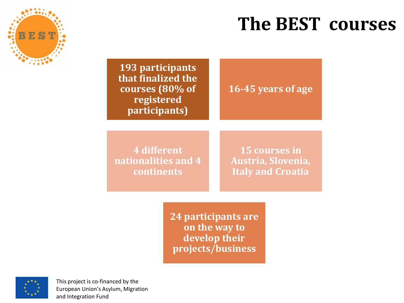### **The BEST courses**



**193 participants that finalized the courses (80% of registered participants)**

#### **16-45 years of age**

**4 different nationalities and 4 continents**

**15 courses in Austria, Slovenia, Italy and Croatia**

**24 participants are on the way to develop their projects/business**

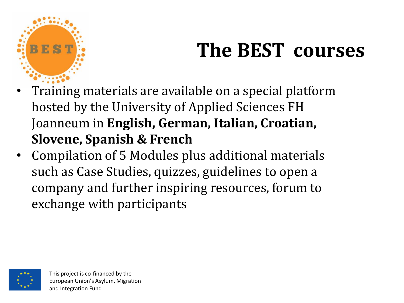

### **The BEST courses**

- Training materials are available on a special platform hosted by the University of Applied Sciences FH Joanneum in **English, German, Italian, Croatian, Slovene, Spanish & French**
- Compilation of 5 Modules plus additional materials such as Case Studies, quizzes, guidelines to open a company and further inspiring resources, forum to exchange with participants

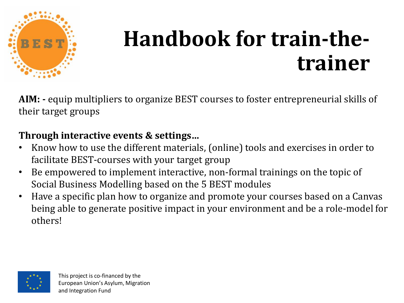

## **Handbook for train-thetrainer**

**AIM: -** equip multipliers to organize BEST courses to foster entrepreneurial skills of their target groups

#### **Through interactive events & settings…**

- Know how to use the different materials, (online) tools and exercises in order to facilitate BEST-courses with your target group
- Be empowered to implement interactive, non-formal trainings on the topic of Social Business Modelling based on the 5 BEST modules
- Have a specific plan how to organize and promote your courses based on a Canvas being able to generate positive impact in your environment and be a role-model for others!

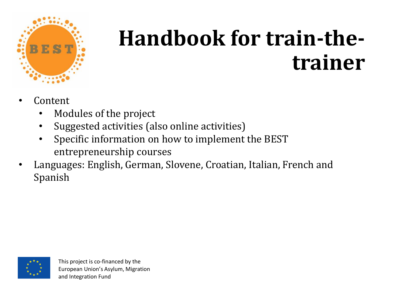

## **Handbook for train-thetrainer**

- **Content** 
	- Modules of the project
	- Suggested activities (also online activities)
	- Specific information on how to implement the BEST entrepreneurship courses
- Languages: English, German, Slovene, Croatian, Italian, French and Spanish

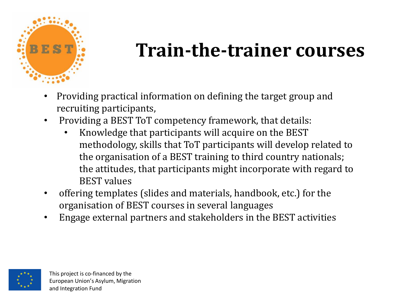

### **Train-the-trainer courses**

- Providing practical information on defining the target group and recruiting participants,
- Providing a BEST ToT competency framework, that details:
	- Knowledge that participants will acquire on the BEST methodology, skills that ToT participants will develop related to the organisation of a BEST training to third country nationals; the attitudes, that participants might incorporate with regard to BEST values
- offering templates (slides and materials, handbook, etc.) for the organisation of BEST courses in several languages
- Engage external partners and stakeholders in the BEST activities

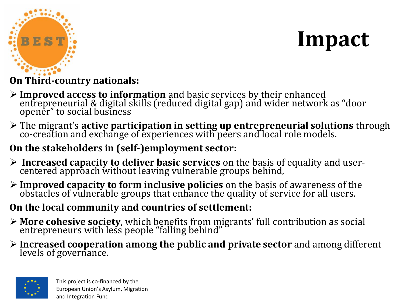

## **Impact**

#### **On Third-country nationals:**

- **Improved access to information** and basic services by their enhanced entrepreneurial & digital skills (reduced digital gap) and wider network as "door opener" to social business
- The migrant's **active participation in setting up entrepreneurial solutions** through co-creation and exchange of experiences with peers and local role models.

#### **On the stakeholders in (self-)employment sector:**

- **Increased capacity to deliver basic services** on the basis of equality and usercentered approach without leaving vulnerable groups behind,
- **Improved capacity to form inclusive policies** on the basis of awareness of the obstacles of vulnerable groups that enhance the quality of service for all users.

#### **On the local community and countries of settlement:**

- **More cohesive society**, which benefits from migrants' full contribution as social entrepreneurs with less people "falling behind"
- **Increased cooperation among the public and private sector** and among different levels of governance.